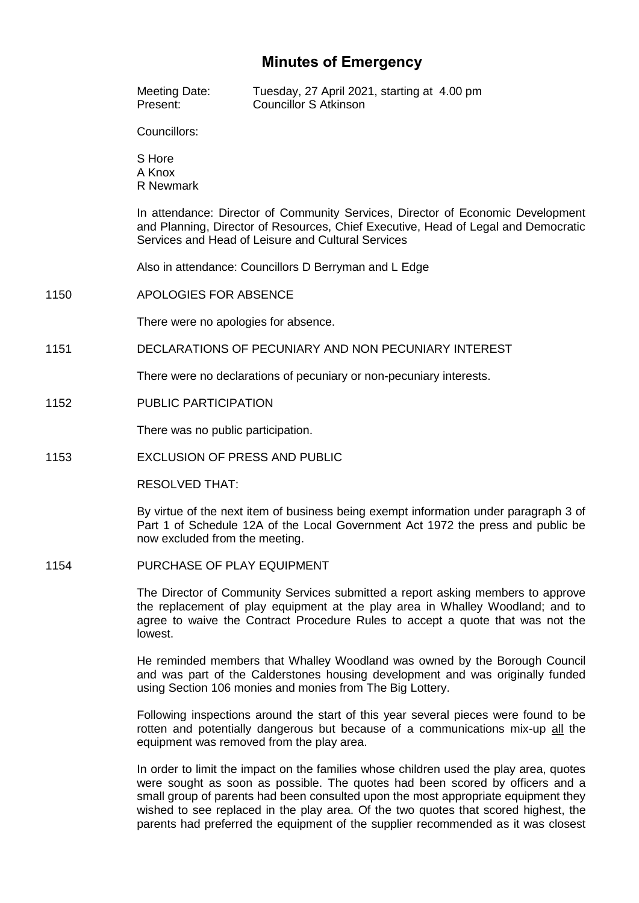## **Minutes of Emergency**

Meeting Date: Tuesday, 27 April 2021, starting at 4.00 pm<br>Present: Councillor S Atkinson Councillor S Atkinson

Councillors:

S Hore A Knox R Newmark

In attendance: Director of Community Services, Director of Economic Development and Planning, Director of Resources, Chief Executive, Head of Legal and Democratic Services and Head of Leisure and Cultural Services

Also in attendance: Councillors D Berryman and L Edge

1150 APOLOGIES FOR ABSENCE

There were no apologies for absence.

1151 DECLARATIONS OF PECUNIARY AND NON PECUNIARY INTEREST

There were no declarations of pecuniary or non-pecuniary interests.

1152 PUBLIC PARTICIPATION

There was no public participation.

1153 EXCLUSION OF PRESS AND PUBLIC

RESOLVED THAT:

By virtue of the next item of business being exempt information under paragraph 3 of Part 1 of Schedule 12A of the Local Government Act 1972 the press and public be now excluded from the meeting.

1154 PURCHASE OF PLAY EQUIPMENT

The Director of Community Services submitted a report asking members to approve the replacement of play equipment at the play area in Whalley Woodland; and to agree to waive the Contract Procedure Rules to accept a quote that was not the lowest.

He reminded members that Whalley Woodland was owned by the Borough Council and was part of the Calderstones housing development and was originally funded using Section 106 monies and monies from The Big Lottery.

Following inspections around the start of this year several pieces were found to be rotten and potentially dangerous but because of a communications mix-up all the equipment was removed from the play area.

In order to limit the impact on the families whose children used the play area, quotes were sought as soon as possible. The quotes had been scored by officers and a small group of parents had been consulted upon the most appropriate equipment they wished to see replaced in the play area. Of the two quotes that scored highest, the parents had preferred the equipment of the supplier recommended as it was closest